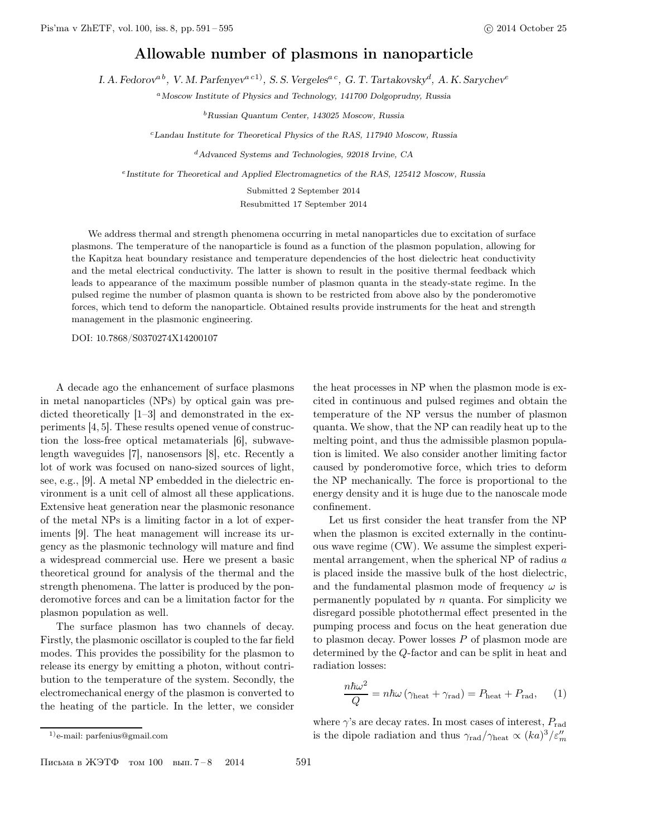## Allowable number of plasmons in nanoparticle

I. A. Fedorov<sup>a b</sup>, V. M. Parfenyev<sup>a c1)</sup>, S. S. Vergeles<sup>a c</sup>, G. T. Tartakovsky<sup>d</sup>, A. K. Sarychev<sup>e</sup>

<sup>a</sup> Moscow Institute of Physics and Technology, 141700 Dolgoprudny, Russia

 $^{\rm b}$ Russian Quantum Center, 143025 Moscow, Russia

 $c$ Landau Institute for Theoretical Physics of the RAS, 117940 Moscow, Russia

<sup>d</sup>Advanced Systems and Technologies, 92018 Irvine, CA

<sup>e</sup> Institute for Theoretical and Applied Electromagnetics of the RAS, 125412 Moscow, Russia

Submitted 2 September 2014 Resubmitted 17 September 2014

We address thermal and strength phenomena occurring in metal nanoparticles due to excitation of surface plasmons. The temperature of the nanoparticle is found as a function of the plasmon population, allowing for the Kapitza heat boundary resistance and temperature dependencies of the host dielectric heat conductivity and the metal electrical conductivity. The latter is shown to result in the positive thermal feedback which leads to appearance of the maximum possible number of plasmon quanta in the steady-state regime. In the pulsed regime the number of plasmon quanta is shown to be restricted from above also by the ponderomotive forces, which tend to deform the nanoparticle. Obtained results provide instruments for the heat and strength management in the plasmonic engineering.

DOI: 10.7868/S0370274X14200107

A decade ago the enhancement of surface plasmons in metal nanoparticles (NPs) by optical gain was predicted theoretically [1–3] and demonstrated in the experiments [4, 5]. These results opened venue of construction the loss-free optical metamaterials [6], subwavelength waveguides [7], nanosensors [8], etc. Recently a lot of work was focused on nano-sized sources of light, see, e.g., [9]. A metal NP embedded in the dielectric environment is a unit cell of almost all these applications. Extensive heat generation near the plasmonic resonance of the metal NPs is a limiting factor in a lot of experiments [9]. The heat management will increase its urgency as the plasmonic technology will mature and find a widespread commercial use. Here we present a basic theoretical ground for analysis of the thermal and the strength phenomena. The latter is produced by the ponderomotive forces and can be a limitation factor for the plasmon population as well.

The surface plasmon has two channels of decay. Firstly, the plasmonic oscillator is coupled to the far field modes. This provides the possibility for the plasmon to release its energy by emitting a photon, without contribution to the temperature of the system. Secondly, the electromechanical energy of the plasmon is converted to the heating of the particle. In the letter, we consider the heat processes in NP when the plasmon mode is excited in continuous and pulsed regimes and obtain the temperature of the NP versus the number of plasmon quanta. We show, that the NP can readily heat up to the melting point, and thus the admissible plasmon population is limited. We also consider another limiting factor caused by ponderomotive force, which tries to deform the NP mechanically. The force is proportional to the energy density and it is huge due to the nanoscale mode confinement.

Let us first consider the heat transfer from the NP when the plasmon is excited externally in the continuous wave regime (CW). We assume the simplest experimental arrangement, when the spherical NP of radius a is placed inside the massive bulk of the host dielectric, and the fundamental plasmon mode of frequency  $\omega$  is permanently populated by  $n$  quanta. For simplicity we disregard possible photothermal effect presented in the pumping process and focus on the heat generation due to plasmon decay. Power losses P of plasmon mode are determined by the Q-factor and can be split in heat and radiation losses:

$$
\frac{n\hbar\omega^2}{Q} = n\hbar\omega\left(\gamma_{\text{heat}} + \gamma_{\text{rad}}\right) = P_{\text{heat}} + P_{\text{rad}},\qquad(1)
$$

1)e-mail: parfenius@gmail.com

where  $\gamma$ 's are decay rates. In most cases of interest,  $P_{\text{rad}}$ is the dipole radiation and thus  $\gamma_{\rm rad}/\gamma_{\rm heat} \propto (ka)^3/\varepsilon_m^{\prime\prime}$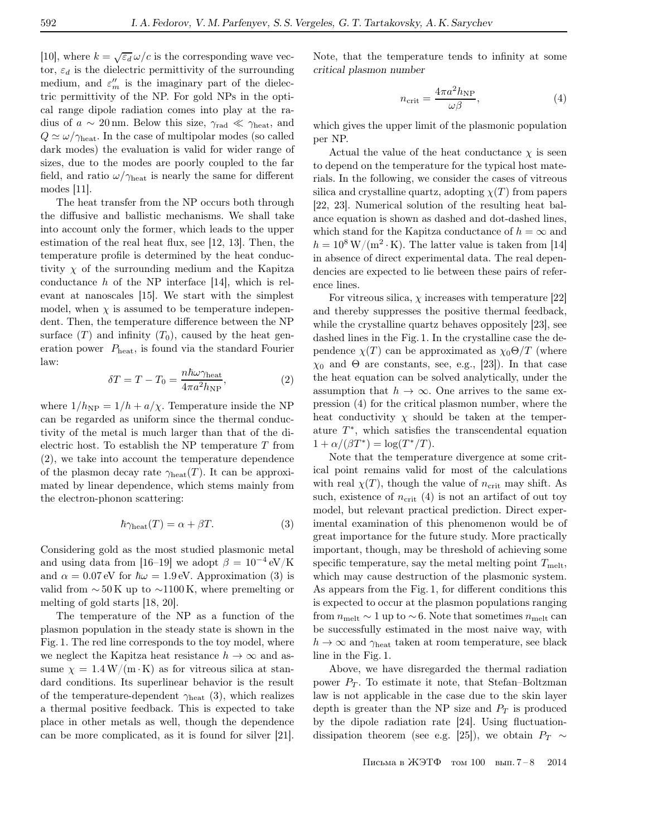[10], where  $k = \sqrt{\varepsilon_d} \omega/c$  is the corresponding wave vector,  $\varepsilon_d$  is the dielectric permittivity of the surrounding medium, and  $\varepsilon_m''$  is the imaginary part of the dielectric permittivity of the NP. For gold NPs in the optical range dipole radiation comes into play at the radius of  $a \sim 20 \,\text{nm}$ . Below this size,  $\gamma_{\text{rad}} \ll \gamma_{\text{heat}}$ , and  $Q \simeq \omega/\gamma_{\rm heat}$ . In the case of multipolar modes (so called dark modes) the evaluation is valid for wider range of sizes, due to the modes are poorly coupled to the far field, and ratio  $\omega/\gamma_{\rm heat}$  is nearly the same for different modes [11].

The heat transfer from the NP occurs both through the diffusive and ballistic mechanisms. We shall take into account only the former, which leads to the upper estimation of the real heat flux, see [12, 13]. Then, the temperature profile is determined by the heat conductivity  $\chi$  of the surrounding medium and the Kapitza conductance  $h$  of the NP interface [14], which is relevant at nanoscales [15]. We start with the simplest model, when  $\chi$  is assumed to be temperature independent. Then, the temperature difference between the NP surface  $(T)$  and infinity  $(T_0)$ , caused by the heat generation power  $P_{\text{heat}}$ , is found via the standard Fourier law:

$$
\delta T = T - T_0 = \frac{n\hbar\omega\gamma_{\text{heat}}}{4\pi a^2 h_{\text{NP}}},\tag{2}
$$

where  $1/h_{\text{NP}} = 1/h + a/\chi$ . Temperature inside the NP can be regarded as uniform since the thermal conductivity of the metal is much larger than that of the dielectric host. To establish the NP temperature  $T$  from (2), we take into account the temperature dependence of the plasmon decay rate  $\gamma_{\text{heat}}(T)$ . It can be approximated by linear dependence, which stems mainly from the electron-phonon scattering:

$$
\hbar \gamma_{\text{heat}}(T) = \alpha + \beta T. \tag{3}
$$

Considering gold as the most studied plasmonic metal and using data from [16–19] we adopt  $\beta = 10^{-4} \text{ eV/K}$ and  $\alpha = 0.07$  eV for  $\hbar \omega = 1.9$  eV. Approximation (3) is valid from  $\sim$  50 K up to  $\sim$ 1100 K, where premelting or melting of gold starts [18, 20].

The temperature of the NP as a function of the plasmon population in the steady state is shown in the Fig. 1. The red line corresponds to the toy model, where we neglect the Kapitza heat resistance  $h \to \infty$  and assume  $\chi = 1.4 \,\mathrm{W/(m \cdot K)}$  as for vitreous silica at standard conditions. Its superlinear behavior is the result of the temperature-dependent  $\gamma_{\text{heat}}$  (3), which realizes a thermal positive feedback. This is expected to take place in other metals as well, though the dependence can be more complicated, as it is found for silver [21].

Note, that the temperature tends to infinity at some critical plasmon number

$$
n_{\rm crit} = \frac{4\pi a^2 h_{\rm NP}}{\omega \beta},\tag{4}
$$

which gives the upper limit of the plasmonic population per NP.

Actual the value of the heat conductance  $\chi$  is seen to depend on the temperature for the typical host materials. In the following, we consider the cases of vitreous silica and crystalline quartz, adopting  $\chi(T)$  from papers [22, 23]. Numerical solution of the resulting heat balance equation is shown as dashed and dot-dashed lines, which stand for the Kapitza conductance of  $h = \infty$  and  $h = 10^8 \,\mathrm{W/(m^2 \cdot K)}$ . The latter value is taken from [14] in absence of direct experimental data. The real dependencies are expected to lie between these pairs of reference lines.

For vitreous silica,  $\chi$  increases with temperature [22] and thereby suppresses the positive thermal feedback, while the crystalline quartz behaves oppositely [23], see dashed lines in the Fig. 1. In the crystalline case the dependence  $\chi(T)$  can be approximated as  $\chi_0 \Theta/T$  (where  $\chi_0$  and  $\Theta$  are constants, see, e.g., [23]). In that case the heat equation can be solved analytically, under the assumption that  $h \to \infty$ . One arrives to the same expression (4) for the critical plasmon number, where the heat conductivity  $\chi$  should be taken at the temperature  $T^*$ , which satisfies the transcendental equation  $1 + \alpha/(\beta T^*) = \log(T^*/T).$ 

Note that the temperature divergence at some critical point remains valid for most of the calculations with real  $\chi(T)$ , though the value of  $n_{\text{crit}}$  may shift. As such, existence of  $n_{\text{crit}}$  (4) is not an artifact of out toy model, but relevant practical prediction. Direct experimental examination of this phenomenon would be of great importance for the future study. More practically important, though, may be threshold of achieving some specific temperature, say the metal melting point  $T_{\text{melt}}$ , which may cause destruction of the plasmonic system. As appears from the Fig. 1, for different conditions this is expected to occur at the plasmon populations ranging from  $n_{\text{melt}} \sim 1$  up to ~6. Note that sometimes  $n_{\text{melt}}$  can be successfully estimated in the most naive way, with  $h \to \infty$  and  $\gamma_{\text{heat}}$  taken at room temperature, see black line in the Fig. 1.

Above, we have disregarded the thermal radiation power  $P_T$ . To estimate it note, that Stefan–Boltzman law is not applicable in the case due to the skin layer depth is greater than the NP size and  $P_T$  is produced by the dipole radiation rate [24]. Using fluctuationdissipation theorem (see e.g. [25]), we obtain  $P_T \sim$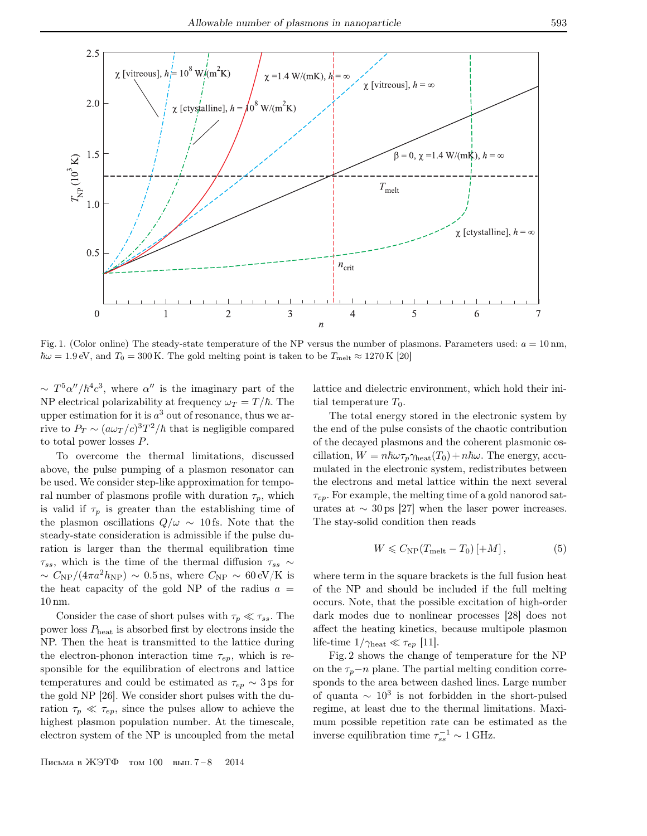

Fig. 1. (Color online) The steady-state temperature of the NP versus the number of plasmons. Parameters used:  $a = 10 \text{ nm}$ ,  $\hbar\omega = 1.9$  eV, and  $T_0 = 300$  K. The gold melting point is taken to be  $T_{\text{melt}} \approx 1270$  K [20]

 $\sim T^5 \alpha''/\hbar^4 c^3$ , where  $\alpha''$  is the imaginary part of the NP electrical polarizability at frequency  $\omega_T = T/\hbar$ . The upper estimation for it is  $a^3$  out of resonance, thus we arrive to  $P_T \sim (a\omega_T/c)^3 T^2/\hbar$  that is negligible compared to total power losses P.

To overcome the thermal limitations, discussed above, the pulse pumping of a plasmon resonator can be used. We consider step-like approximation for temporal number of plasmons profile with duration  $\tau_p$ , which is valid if  $\tau_p$  is greater than the establishing time of the plasmon oscillations  $Q/\omega \sim 10$  fs. Note that the steady-state consideration is admissible if the pulse duration is larger than the thermal equilibration time  $\tau_{ss}$ , which is the time of the thermal diffusion  $\tau_{ss} \sim$  $\sim C_{\rm NP}/(4\pi a^2 h_{\rm NP}) \sim 0.5$  ns, where  $C_{\rm NP} \sim 60 \,\rm eV/K$  is the heat capacity of the gold NP of the radius  $a =$ 10 nm.

Consider the case of short pulses with  $\tau_p \ll \tau_{ss}$ . The power loss Pheat is absorbed first by electrons inside the NP. Then the heat is transmitted to the lattice during the electron-phonon interaction time  $\tau_{ep}$ , which is responsible for the equilibration of electrons and lattice temperatures and could be estimated as  $\tau_{ep} \sim 3 \,\text{ps}$  for the gold NP [26]. We consider short pulses with the duration  $\tau_p \ll \tau_{ep}$ , since the pulses allow to achieve the highest plasmon population number. At the timescale, electron system of the NP is uncoupled from the metal

Письма в ЖЭТФ том 100 вып. 7 – 8 2014

lattice and dielectric environment, which hold their initial temperature  $T_0$ .

The total energy stored in the electronic system by the end of the pulse consists of the chaotic contribution of the decayed plasmons and the coherent plasmonic oscillation,  $W = n\hbar\omega\tau_p\gamma_{\text{heat}}(T_0) + n\hbar\omega$ . The energy, accumulated in the electronic system, redistributes between the electrons and metal lattice within the next several  $\tau_{ep}$ . For example, the melting time of a gold nanorod saturates at  $\sim 30 \,\text{ps}$  [27] when the laser power increases. The stay-solid condition then reads

$$
W \leqslant C_{\rm NP}(T_{\rm melt} - T_0) \left[ + M \right],\tag{5}
$$

where term in the square brackets is the full fusion heat of the NP and should be included if the full melting occurs. Note, that the possible excitation of high-order dark modes due to nonlinear processes [28] does not affect the heating kinetics, because multipole plasmon life-time  $1/\gamma_{\rm heat} \ll \tau_{ep}$  [11].

Fig. 2 shows the change of temperature for the NP on the  $\tau_p-\eta$  plane. The partial melting condition corresponds to the area between dashed lines. Large number of quanta  $\sim 10^3$  is not forbidden in the short-pulsed regime, at least due to the thermal limitations. Maximum possible repetition rate can be estimated as the inverse equilibration time  $\tau_{ss}^{-1} \sim 1$  GHz.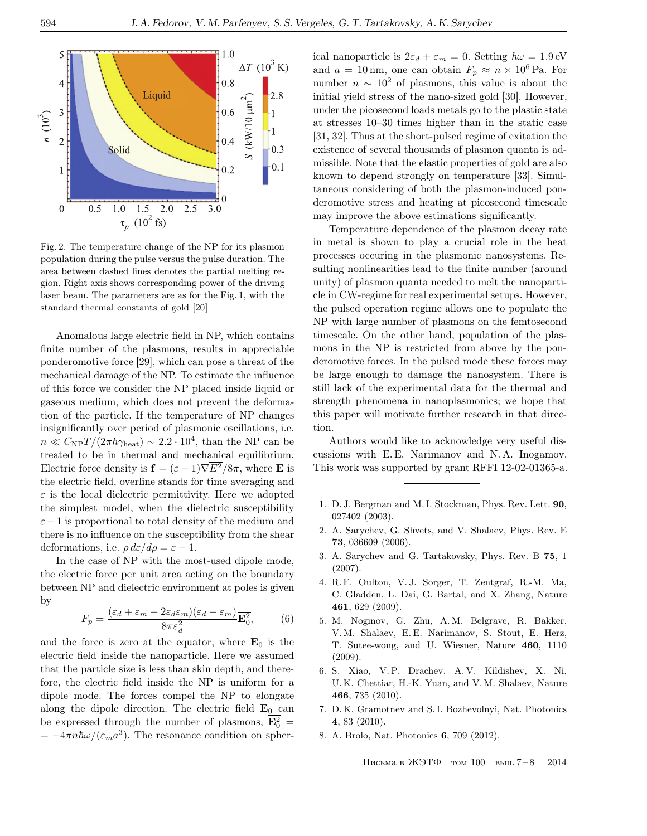

Fig. 2. The temperature change of the NP for its plasmon population during the pulse versus the pulse duration. The area between dashed lines denotes the partial melting region. Right axis shows corresponding power of the driving laser beam. The parameters are as for the Fig. 1, with the standard thermal constants of gold [20]

Anomalous large electric field in NP, which contains finite number of the plasmons, results in appreciable ponderomotive force [29], which can pose a threat of the mechanical damage of the NP. To estimate the influence of this force we consider the NP placed inside liquid or gaseous medium, which does not prevent the deformation of the particle. If the temperature of NP changes insignificantly over period of plasmonic oscillations, i.e.  $n \ll C_{\rm NP} T / (2\pi \hbar \gamma_{\rm heat}) \sim 2.2 \cdot 10^4$ , than the NP can be treated to be in thermal and mechanical equilibrium. Electric force density is  $\mathbf{f} = (\varepsilon - 1)\nabla \overline{E^2}/8\pi$ , where **E** is the electric field, overline stands for time averaging and  $\varepsilon$  is the local dielectric permittivity. Here we adopted the simplest model, when the dielectric susceptibility  $\varepsilon-1$  is proportional to total density of the medium and there is no influence on the susceptibility from the shear deformations, i.e.  $\rho d\varepsilon/d\rho = \varepsilon - 1$ .

In the case of NP with the most-used dipole mode, the electric force per unit area acting on the boundary between NP and dielectric environment at poles is given by

$$
F_p = \frac{(\varepsilon_d + \varepsilon_m - 2\varepsilon_d \varepsilon_m)(\varepsilon_d - \varepsilon_m)}{8\pi\varepsilon_d^2} \overline{\mathbf{E}_0^2},\tag{6}
$$

and the force is zero at the equator, where  $E_0$  is the electric field inside the nanoparticle. Here we assumed that the particle size is less than skin depth, and therefore, the electric field inside the NP is uniform for a dipole mode. The forces compel the NP to elongate along the dipole direction. The electric field  $\mathbf{E}_0$  can be expressed through the number of plasmons,  $\overline{\mathbf{E}_0^2}$  =  $= -4\pi n\hbar\omega/(\varepsilon_m a^3)$ . The resonance condition on spherical nanoparticle is  $2\varepsilon_d + \varepsilon_m = 0$ . Setting  $\hbar \omega = 1.9 \text{ eV}$ and  $a = 10$  nm, one can obtain  $F_p \approx n \times 10^6$  Pa. For number  $n \sim 10^2$  of plasmons, this value is about the initial yield stress of the nano-sized gold [30]. However, under the picosecond loads metals go to the plastic state at stresses 10–30 times higher than in the static case [31, 32]. Thus at the short-pulsed regime of exitation the existence of several thousands of plasmon quanta is admissible. Note that the elastic properties of gold are also known to depend strongly on temperature [33]. Simultaneous considering of both the plasmon-induced ponderomotive stress and heating at picosecond timescale may improve the above estimations significantly.

Temperature dependence of the plasmon decay rate in metal is shown to play a crucial role in the heat processes occuring in the plasmonic nanosystems. Resulting nonlinearities lead to the finite number (around unity) of plasmon quanta needed to melt the nanoparticle in CW-regime for real experimental setups. However, the pulsed operation regime allows one to populate the NP with large number of plasmons on the femtosecond timescale. On the other hand, population of the plasmons in the NP is restricted from above by the ponderomotive forces. In the pulsed mode these forces may be large enough to damage the nanosystem. There is still lack of the experimental data for the thermal and strength phenomena in nanoplasmonics; we hope that this paper will motivate further research in that direction.

Authors would like to acknowledge very useful discussions with E. E. Narimanov and N. A. Inogamov. This work was supported by grant RFFI 12-02-01365-a.

- 1. D. J. Bergman and M. I. Stockman, Phys. Rev. Lett. 90, 027402 (2003).
- 2. A. Sarychev, G. Shvets, and V. Shalaev, Phys. Rev. E 73, 036609 (2006).
- 3. A. Sarychev and G. Tartakovsky, Phys. Rev. B 75, 1 (2007).
- 4. R. F. Oulton, V. J. Sorger, T. Zentgraf, R.-M. Ma, C. Gladden, L. Dai, G. Bartal, and X. Zhang, Nature 461, 629 (2009).
- 5. M. Noginov, G. Zhu, A. M. Belgrave, R. Bakker, V.M. Shalaev, E. E. Narimanov, S. Stout, E. Herz, T. Sutee-wong, and U. Wiesner, Nature 460, 1110 (2009).
- 6. S. Xiao, V. P. Drachev, A. V. Kildishev, X. Ni, U. K. Chettiar, H.-K. Yuan, and V.M. Shalaev, Nature 466, 735 (2010).
- 7. D. K. Gramotnev and S. I. Bozhevolnyi, Nat. Photonics 4, 83 (2010).
- 8. A. Brolo, Nat. Photonics 6, 709 (2012).

Письма в ЖЭТФ том 100 вып. 7 – 8 2014